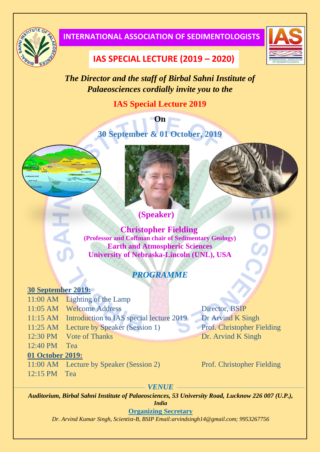

### **INTERNATIONAL ASSOCIATION OF SEDIMENTOLOGISTS**



## **IAS SPECIAL LECTURE (2019 – 2020)**

*The Director and the staff of Birbal Sahni Institute of Palaeosciences cordially invite you to the*

## **IAS Special Lecture 2019**

## **On 30 September & 01 October, 2019**



**(Speaker)**

#### **Christopher Fielding (Professor and Coffman chair of Sedimentary Geology) Earth and Atmospheric Sciences University of Nebraska-Lincoln (UNL), USA**

### *PROGRAMME*

#### **30 September 2019:**

- 11:00 AM Lighting of the Lamp
- 11:05 AM Welcome Address Director, BSIP
- 11:15 AM Introduction to IAS special lecture 2019 Dr Arvind K Singh
- 11:25 AM Lecture by Speaker (Session 1) Prof. Christopher Fielding
- 12:30 PM Vote of Thanks Dr. Arvind K Singh
- 12:40 PM Tea

#### **01 October 2019:**

- 11:00 AM Lecture by Speaker (Session 2) Prof. Christopher Fielding
- 12:15 PM Tea

*VENUE*

*Auditorium, Birbal Sahni Institute of Palaeosciences, 53 University Road, Lucknow 226 007 (U.P.),*

*India*

**Organizing Secretary**

*Dr. Arvind Kumar Singh, Scientist-B, BSIP Email:arvindsingh14@gmail.com; 9953267756*